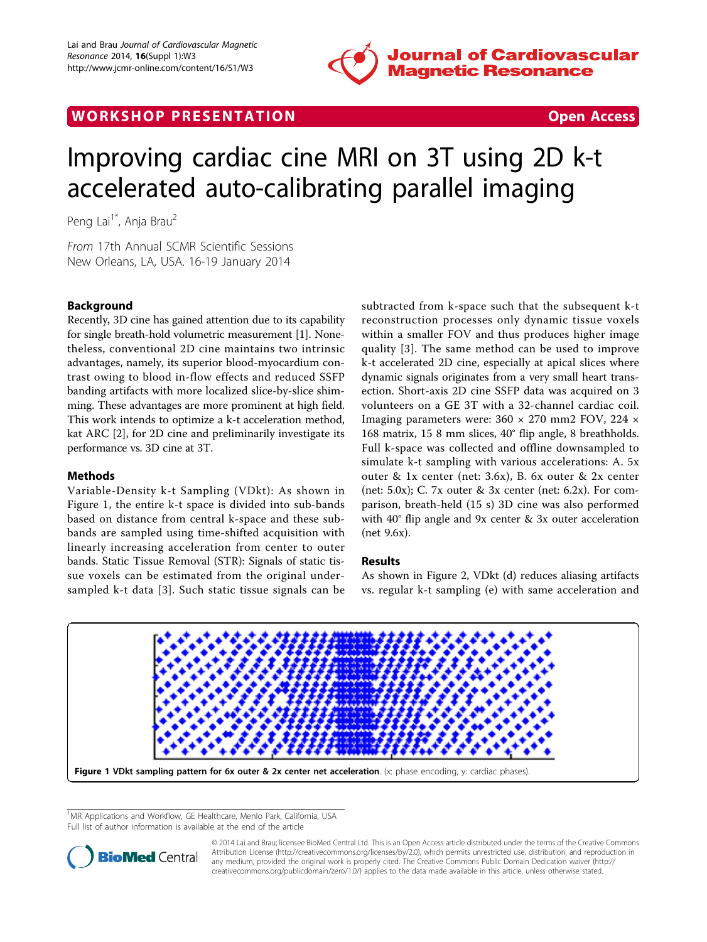

## WORK SHOP PRESENTATION AND RESENSIVE STATES Open Access



# Improving cardiac cine MRI on 3T using 2D k-t accelerated auto-calibrating parallel imaging

Peng Lai<sup>1\*</sup>, Anja Brau<sup>2</sup>

From 17th Annual SCMR Scientific Sessions New Orleans, LA, USA. 16-19 January 2014

## Background

Recently, 3D cine has gained attention due to its capability for single breath-hold volumetric measurement [\[1\]](#page-1-0). Nonetheless, conventional 2D cine maintains two intrinsic advantages, namely, its superior blood-myocardium contrast owing to blood in-flow effects and reduced SSFP banding artifacts with more localized slice-by-slice shimming. These advantages are more prominent at high field. This work intends to optimize a k-t acceleration method, kat ARC [[2\]](#page-1-0), for 2D cine and preliminarily investigate its performance vs. 3D cine at 3T.

## Methods

Variable-Density k-t Sampling (VDkt): As shown in Figure 1, the entire k-t space is divided into sub-bands based on distance from central k-space and these subbands are sampled using time-shifted acquisition with linearly increasing acceleration from center to outer bands. Static Tissue Removal (STR): Signals of static tissue voxels can be estimated from the original undersampled k-t data [[3\]](#page-1-0). Such static tissue signals can be subtracted from k-space such that the subsequent k-t reconstruction processes only dynamic tissue voxels within a smaller FOV and thus produces higher image quality [[3\]](#page-1-0). The same method can be used to improve k-t accelerated 2D cine, especially at apical slices where dynamic signals originates from a very small heart transection. Short-axis 2D cine SSFP data was acquired on 3 volunteers on a GE 3T with a 32-channel cardiac coil. Imaging parameters were: 360 × 270 mm2 FOV, 224 × 168 matrix, 15 8 mm slices, 40° flip angle, 8 breathholds. Full k-space was collected and offline downsampled to simulate k-t sampling with various accelerations: A. 5x outer & 1x center (net: 3.6x), B. 6x outer & 2x center (net: 5.0x); C. 7x outer & 3x center (net: 6.2x). For comparison, breath-held (15 s) 3D cine was also performed with 40° flip angle and 9x center & 3x outer acceleration (net 9.6x).

### Results

As shown in Figure [2](#page-1-0), VDkt (d) reduces aliasing artifacts vs. regular k-t sampling (e) with same acceleration and



<sup>1</sup>MR Applications and Workflow, GE Healthcare, Menlo Park, California, USA Full list of author information is available at the end of the article



© 2014 Lai and Brau; licensee BioMed Central Ltd. This is an Open Access article distributed under the terms of the Creative Commons Attribution License [\(http://creativecommons.org/licenses/by/2.0](http://creativecommons.org/licenses/by/2.0)), which permits unrestricted use, distribution, and reproduction in any medium, provided the original work is properly cited. The Creative Commons Public Domain Dedication waiver [\(http://](http://creativecommons.org/publicdomain/zero/1.0/) [creativecommons.org/publicdomain/zero/1.0/](http://creativecommons.org/publicdomain/zero/1.0/)) applies to the data made available in this article, unless otherwise stated.